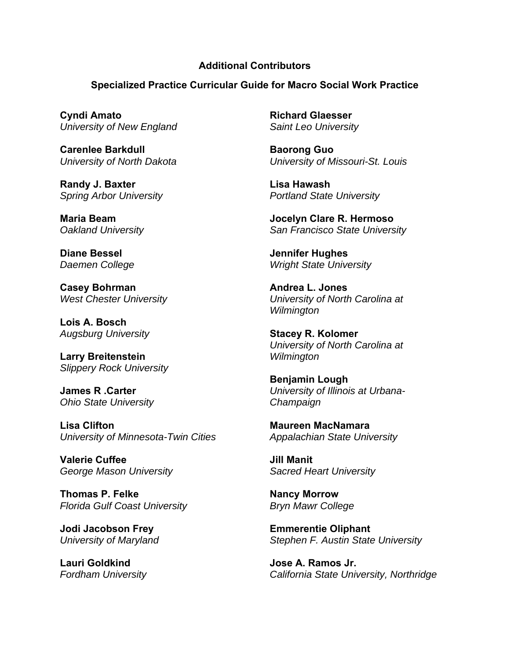## **Additional Contributors**

**Specialized Practice Curricular Guide for Macro Social Work Practice** 

**Cyndi Amato**  *University of New England* 

**Carenlee Barkdull**  *University of North Dakota* 

**Randy J. Baxter**  *Spring Arbor University* 

**Maria Beam**  *Oakland University* 

**Diane Bessel**  *Daemen College* 

**Casey Bohrman**  *West Chester University* 

**Lois A. Bosch**  *Augsburg University* 

**Larry Breitenstein**  *Slippery Rock University* 

**James R .Carter**  *Ohio State University* 

**Lisa Clifton**  *University of Minnesota-Twin Cities* 

**Valerie Cuffee**  *George Mason University* 

**Thomas P. Felke**  *Florida Gulf Coast University* 

**Jodi Jacobson Frey**  *University of Maryland* 

**Lauri Goldkind**  *Fordham University*  **Richard Glaesser**  *Saint Leo University* 

**Baorong Guo**  *University of Missouri-St. Louis* 

**Lisa Hawash**  *Portland State University* 

**Jocelyn Clare R. Hermoso**  *San Francisco State University* 

**Jennifer Hughes**  *Wright State University* 

**Andrea L. Jones**  *University of North Carolina at Wilmington* 

**Stacey R. Kolomer**  *University of North Carolina at Wilmington* 

**Benjamin Lough**  *University of Illinois at Urbana-Champaign* 

**Maureen MacNamara**  *Appalachian State University* 

**Jill Manit**  *Sacred Heart University* 

**Nancy Morrow**  *Bryn Mawr College* 

**Emmerentie Oliphant**  *Stephen F. Austin State University* 

**Jose A. Ramos Jr.**  *California State University, Northridge*